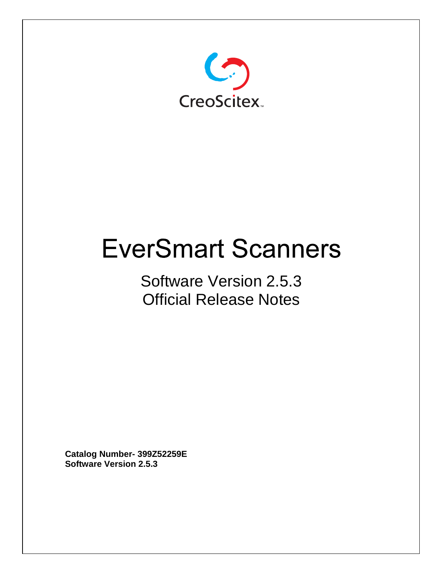

# **EverSmart Scanners**

## Software Version 2.5.3 Official Release Notes

**Catalog Number- 399Z52259E Software Version 2.5.3**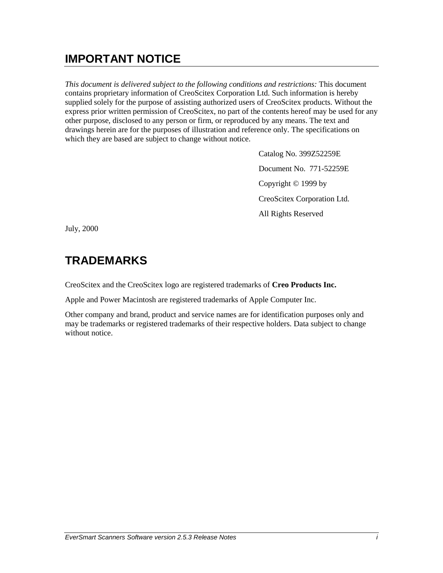## **IMPORTANT NOTICE**

*This document is delivered subject to the following conditions and restrictions:* This document contains proprietary information of CreoScitex Corporation Ltd. Such information is hereby supplied solely for the purpose of assisting authorized users of CreoScitex products. Without the express prior written permission of CreoScitex, no part of the contents hereof may be used for any other purpose, disclosed to any person or firm, or reproduced by any means. The text and drawings herein are for the purposes of illustration and reference only. The specifications on which they are based are subject to change without notice.

> Catalog No. 399Z52259E Document No. 771-52259E Copyright © 1999 by CreoScitex Corporation Ltd. All Rights Reserved

July, 2000

## **TRADEMARKS**

CreoScitex and the CreoScitex logo are registered trademarks of **Creo Products Inc.**

Apple and Power Macintosh are registered trademarks of Apple Computer Inc.

Other company and brand, product and service names are for identification purposes only and may be trademarks or registered trademarks of their respective holders. Data subject to change without notice.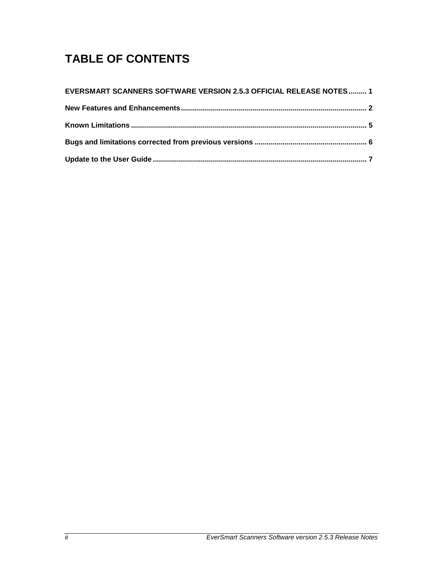## **TABLE OF CONTENTS**

| <b>EVERSMART SCANNERS SOFTWARE VERSION 2.5.3 OFFICIAL RELEASE NOTES  1</b> |  |
|----------------------------------------------------------------------------|--|
|                                                                            |  |
|                                                                            |  |
|                                                                            |  |
|                                                                            |  |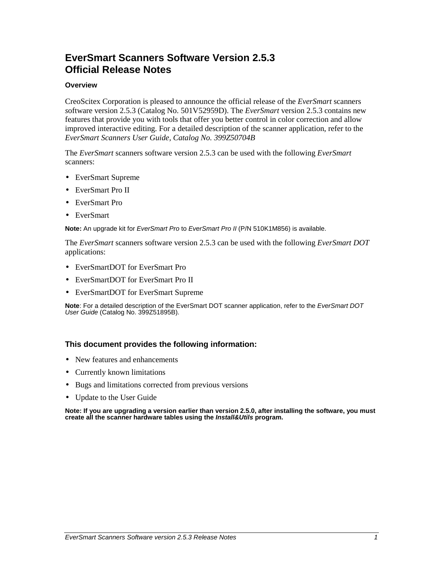## **EverSmart Scanners Software Version 2.5.3 Official Release Notes**

#### **Overview**

CreoScitex Corporation is pleased to announce the official release of the *EverSmart* scanners *s*oftware version 2.5.3 (Catalog No. 501V52959D). The *EverSmart* version 2.5.3 contains new features that provide you with tools that offer you better control in color correction and allow improved interactive editing. For a detailed description of the scanner application, refer to the *EverSmart Scanners User Guide, Catalog No. 399Z50704B*

The *EverSmart* scanners software version 2.5.3 can be used with the following *EverSmart* scanners:

- EverSmart Supreme
- EverSmart Pro II
- EverSmart Pro
- EverSmart

**Note:** An upgrade kit for EverSmart Pro to EverSmart Pro II (P/N 510K1M856) is available.

The *EverSmart* scanners software version 2.5.3 can be used with the following *EverSmart DOT* applications:

- EverSmartDOT for EverSmart Pro
- EverSmartDOT for EverSmart Pro II
- EverSmartDOT for EverSmart Supreme

**Note**: For a detailed description of the EverSmart DOT scanner application, refer to the EverSmart DOT User Guide (Catalog No. 399Z51895B).

#### **This document provides the following information:**

- New features and enhancements
- Currently known limitations
- Bugs and limitations corrected from previous versions
- Update to the User Guide

**Note: If you are upgrading a version earlier than version 2.5.0, after installing the software, you must create all the scanner hardware tables using the Install&Utils program.**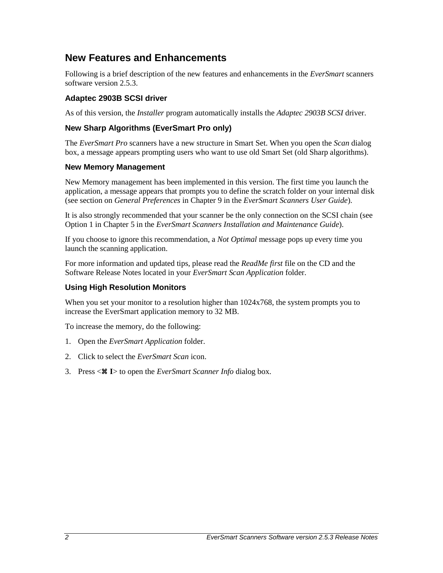### **New Features and Enhancements**

Following is a brief description of the new features and enhancements in the *EverSmart* scanners software version 2.5.3.

#### **Adaptec 2903B SCSI driver**

As of this version, the *Installer* program automatically installs the *Adaptec 2903B SCSI* driver.

#### **New Sharp Algorithms (EverSmart Pro only)**

The *EverSmart Pro* scanners have a new structure in Smart Set. When you open the *Scan* dialog box, a message appears prompting users who want to use old Smart Set (old Sharp algorithms).

#### **New Memory Management**

New Memory management has been implemented in this version. The first time you launch the application, a message appears that prompts you to define the scratch folder on your internal disk (see section on *General Preferences* in Chapter 9 in the *EverSmart Scanners User Guide*).

It is also strongly recommended that your scanner be the only connection on the SCSI chain (see Option 1 in Chapter 5 in the *EverSmart Scanners Installation and Maintenance Guide*).

If you choose to ignore this recommendation, a *Not Optimal* message pops up every time you launch the scanning application.

For more information and updated tips, please read the *ReadMe first* file on the CD and the Software Release Notes located in your *EverSmart Scan Application* folder.

#### **Using High Resolution Monitors**

When you set your monitor to a resolution higher than  $1024x768$ , the system prompts you to increase the EverSmart application memory to 32 MB.

To increase the memory, do the following:

- 1. Open the *EverSmart Application* folder.
- 2. Click to select the *EverSmart Scan* icon.
- 3. Press < **<sup>I</sup>**> to open the *EverSmart Scanner Info* dialog box.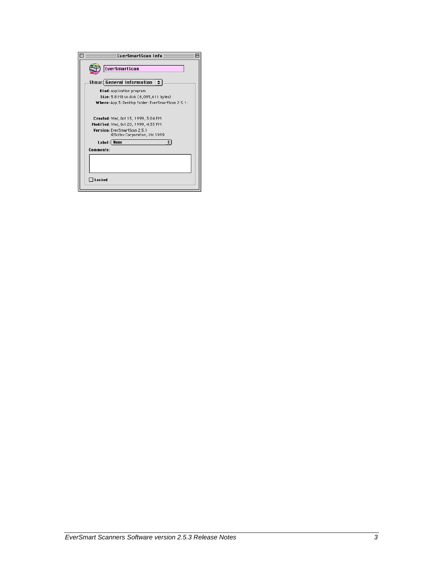| EverSmartScan Info                                                          |
|-----------------------------------------------------------------------------|
| <b>EverSmartScan</b>                                                        |
| Show: General Information                                                   |
| Kind: application program                                                   |
| Size: 5.8 MB on disk (6,095,611 bytes)                                      |
| Where: App. 3: Desktop Folder: EverSmartScan 2.5.1:                         |
| <b>Yersion:</b> EverSmartScan 2.5.1<br>@Scitex Corporation, Ltd 1999        |
| Label: None                                                                 |
| Comments:                                                                   |
|                                                                             |
| Created: Wed, Oct 13, 1999, 3:04 PM<br>Modified: Wed. Oct 20, 1999, 4:33 PM |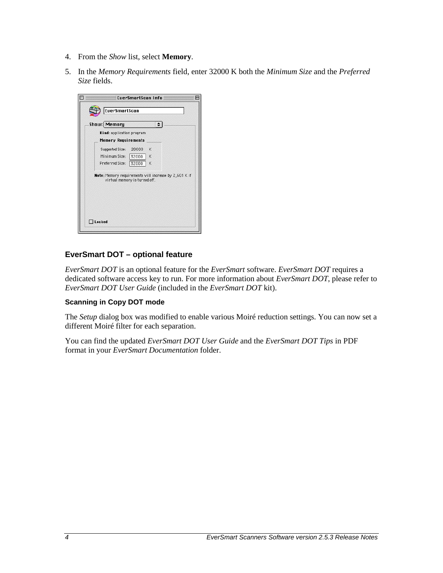- 4. From the *Show* list, select **Memory**.
- 5. In the *Memory Requirements* field, enter 32000 K both the *Minimum Size* and the *Preferred Size* fields.

| K |                                    |  |                                                       |
|---|------------------------------------|--|-------------------------------------------------------|
| K |                                    |  |                                                       |
|   |                                    |  |                                                       |
|   |                                    |  |                                                       |
|   | K<br>virtual memory is turned off. |  | Note: Memory requirements will increase by 2,601 K if |

#### **EverSmart DOT – optional feature**

*EverSmart DOT* is an optional feature for the *EverSmart* software. *EverSmart DOT* requires a dedicated software access key to run. For more information about *EverSmart DOT*, please refer to *EverSmart DOT User Guide* (included in the *EverSmart DOT* kit).

#### **Scanning in Copy DOT mode**

The *Setup* dialog box was modified to enable various Moiré reduction settings. You can now set a different Moiré filter for each separation.

You can find the updated *EverSmart DOT User Guide* and the *EverSmart DOT Tips* in PDF format in your *EverSmart Documentation* folder.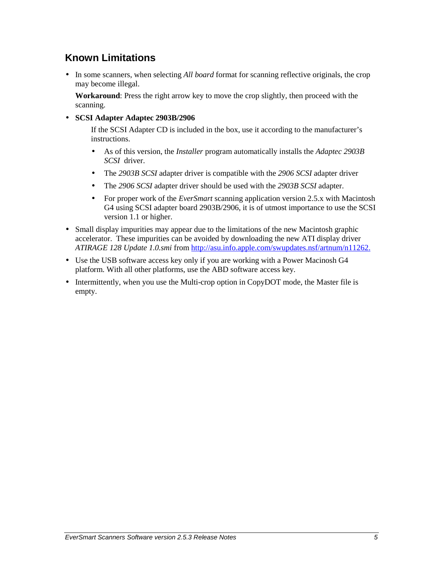## **Known Limitations**

• In some scanners, when selecting *All board* format for scanning reflective originals, the crop may become illegal.

**Workaround**: Press the right arrow key to move the crop slightly, then proceed with the scanning.

• **SCSI Adapter Adaptec 2903B/2906**

If the SCSI Adapter CD is included in the box, use it according to the manufacturer's instructions.

- As of this version, the *Installer* program automatically installs the *Adaptec 2903B SCSI* driver.
- The *2903B SCSI* adapter driver is compatible with the *2906 SCSI* adapter driver
- The *2906 SCSI* adapter driver should be used with the *2903B SCSI* adapter.
- For proper work of the *EverSmart* scanning application version 2.5.x with Macintosh G4 using SCSI adapter board 2903B/2906, it is of utmost importance to use the SCSI version 1.1 or higher.
- Small display impurities may appear due to the limitations of the new Macintosh graphic accelerator. These impurities can be avoided by downloading the new ATI display driver *ATIRAGE 128 Update 1.0.smi* from http://asu.info.apple.com/swupdates.nsf/artnum/n11262.
- Use the USB software access key only if you are working with a Power Macinosh G4 platform. With all other platforms, use the ABD software access key.
- Intermittently, when you use the Multi-crop option in CopyDOT mode, the Master file is empty.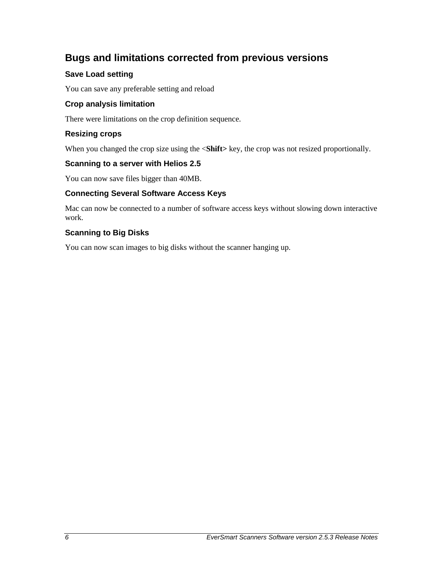## **Bugs and limitations corrected from previous versions**

#### **Save Load setting**

You can save any preferable setting and reload

#### **Crop analysis limitation**

There were limitations on the crop definition sequence.

#### **Resizing crops**

When you changed the crop size using the  $\le$ **Shift**> key, the crop was not resized proportionally.

#### **Scanning to a server with Helios 2.5**

You can now save files bigger than 40MB.

#### **Connecting Several Software Access Keys**

Mac can now be connected to a number of software access keys without slowing down interactive work.

#### **Scanning to Big Disks**

You can now scan images to big disks without the scanner hanging up.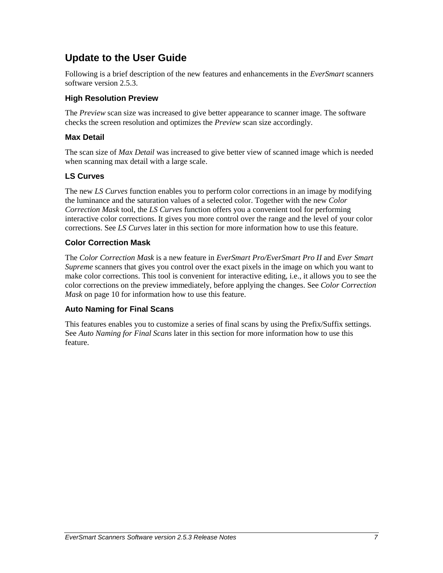## **Update to the User Guide**

Following is a brief description of the new features and enhancements in the *EverSmart* scanners software version 2.5.3.

#### **High Resolution Preview**

The *Preview* scan size was increased to give better appearance to scanner image. The software checks the screen resolution and optimizes the *Preview* scan size accordingly.

#### **Max Detail**

The scan size of *Max Detail* was increased to give better view of scanned image which is needed when scanning max detail with a large scale.

#### **LS Curves**

The new *LS Curves* function enables you to perform color corrections in an image by modifying the luminance and the saturation values of a selected color. Together with the new *Color Correction Mask* tool, the *LS Curves* function offers you a convenient tool for performing interactive color corrections. It gives you more control over the range and the level of your color corrections. See *LS Curves* later in this section for more information how to use this feature.

#### **Color Correction Mask**

The *Color Correction Mask* is a new feature in *EverSmart Pro/EverSmart Pro II* and *Ever Smart Supreme* scanners that gives you control over the exact pixels in the image on which you want to make color corrections. This tool is convenient for interactive editing, i.e., it allows you to see the color corrections on the preview immediately, before applying the changes. See *Color Correction Mask* on page 10 for information how to use this feature.

#### **Auto Naming for Final Scans**

This features enables you to customize a series of final scans by using the Prefix/Suffix settings. See *Auto Naming for Final Scans* later in this section for more information how to use this feature.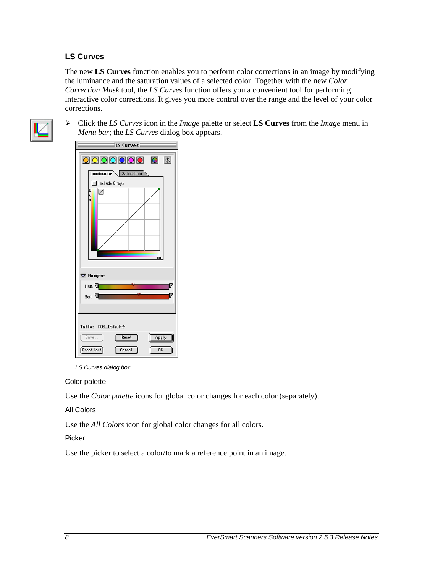#### **LS Curves**

The new **LS Curves** function enables you to perform color corrections in an image by modifying the luminance and the saturation values of a selected color. Together with the new *Color Correction Mask* tool, the *LS Curves* function offers you a convenient tool for performing interactive color corrections. It gives you more control over the range and the level of your color corrections.



-*Menu bar*; the *LS Curves* dialog box appears. Click the *LS Curves* icon in the *Image* palette or select **LS Curves** from the *Image* menu in



LS Curves dialog box

#### Color palette

Use the *Color palette* icons for global color changes for each color (separately).

#### All Colors

Use the *All Colors* icon for global color changes for all colors.

#### Picker

Use the picker to select a color/to mark a reference point in an image.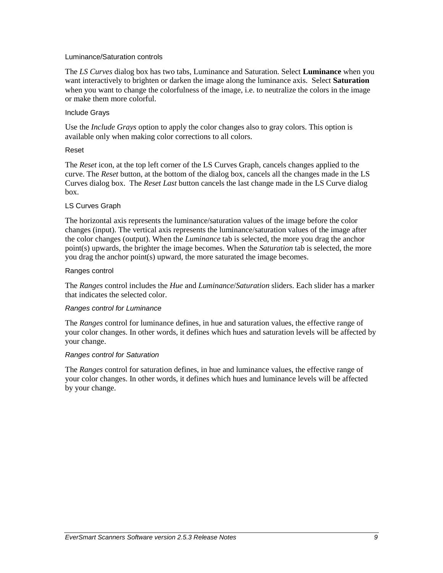#### Luminance/Saturation controls

The *LS Curves* dialog box has two tabs, Luminance and Saturation. Select **Luminance** when you want interactively to brighten or darken the image along the luminance axis. Select **Saturation** when you want to change the colorfulness of the image, i.e. to neutralize the colors in the image or make them more colorful.

#### Include Grays

Use the *Include Grays* option to apply the color changes also to gray colors. This option is available only when making color corrections to all colors.

#### Reset

The *Reset* icon, at the top left corner of the LS Curves Graph, cancels changes applied to the curve. The *Reset* button, at the bottom of the dialog box, cancels all the changes made in the LS Curves dialog box. The *Reset Last* button cancels the last change made in the LS Curve dialog box.

#### LS Curves Graph

The horizontal axis represents the luminance/saturation values of the image before the color changes (input). The vertical axis represents the luminance/saturation values of the image after the color changes (output). When the *Luminance* tab is selected, the more you drag the anchor point(s) upwards, the brighter the image becomes. When the *Saturation* tab is selected, the more you drag the anchor point(s) upward, the more saturated the image becomes.

#### Ranges control

The *Ranges* control includes the *Hue* and *Luminance*/*Saturation* sliders. Each slider has a marker that indicates the selected color.

#### Ranges control for Luminance

The *Ranges* control for luminance defines, in hue and saturation values, the effective range of your color changes. In other words, it defines which hues and saturation levels will be affected by your change.

#### Ranges control for Saturation

The *Ranges* control for saturation defines, in hue and luminance values, the effective range of your color changes. In other words, it defines which hues and luminance levels will be affected by your change.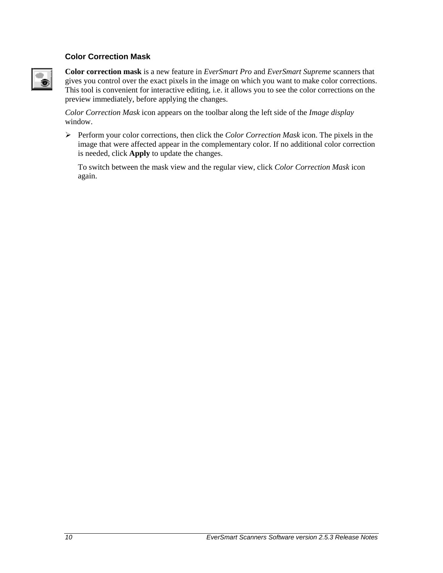#### **Color Correction Mask**



**Color correction mask** is a new feature in *EverSmart Pro* and *EverSmart Supreme* scanners that gives you control over the exact pixels in the image on which you want to make color corrections. This tool is convenient for interactive editing, i.e. it allows you to see the color corrections on the preview immediately, before applying the changes.

*Color Correction Mask* icon appears on the toolbar along the left side of the *Image display* window.

-Perform your color corrections, then click the *Color Correction Mask* icon. The pixels in the image that were affected appear in the complementary color. If no additional color correction is needed, click **Apply** to update the changes.

To switch between the mask view and the regular view, click *Color Correction Mask* icon again.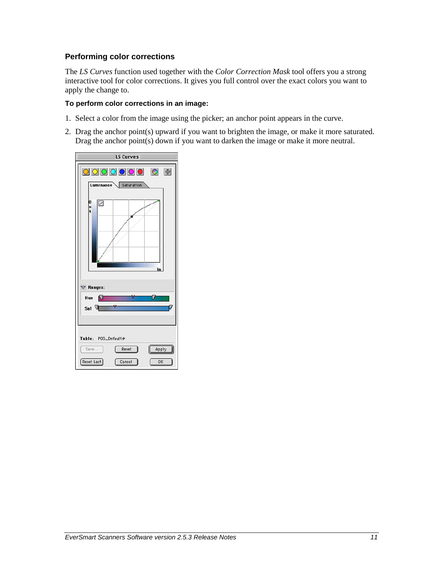#### **Performing color corrections**

The *LS Curves* function used together with the *Color Correction Mask* tool offers you a strong interactive tool for color corrections. It gives you full control over the exact colors you want to apply the change to.

#### **To perform color corrections in an image:**

- 1. Select a color from the image using the picker; an anchor point appears in the curve.
- 2. Drag the anchor point(s) upward if you want to brighten the image, or make it more saturated. Drag the anchor point(s) down if you want to darken the image or make it more neutral.

| LS Curves                  |
|----------------------------|
| 0000000 0 0                |
| Luminance Saturation       |
| o<br>u<br>Ø<br>ŧ           |
|                            |
| In                         |
| $\nabla$ Ranges:           |
| Hue <b>N</b>               |
| Ū<br>Sat <sup>1</sup>      |
|                            |
|                            |
| Table: POS_Default@        |
| Reset<br>Apply<br>Save     |
| Reset Last<br>Cancel<br>OK |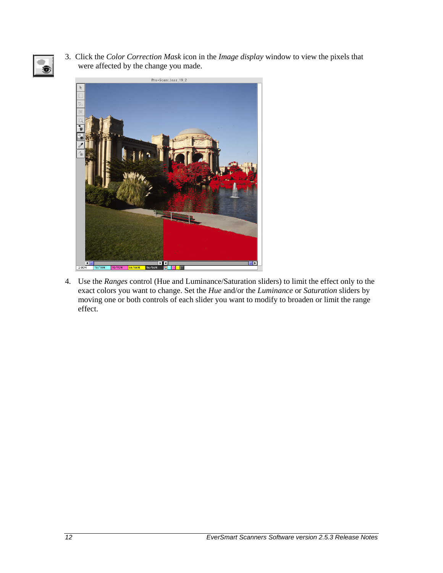

3. Click the *Color Correction Mask* icon in the *Image display* window to view the pixels that were affected by the change you made.



4. Use the *Ranges* control (Hue and Luminance/Saturation sliders) to limit the effect only to the exact colors you want to change. Set the *Hue* and/or the *Luminance* or *Saturation* sliders by moving one or both controls of each slider you want to modify to broaden or limit the range effect.